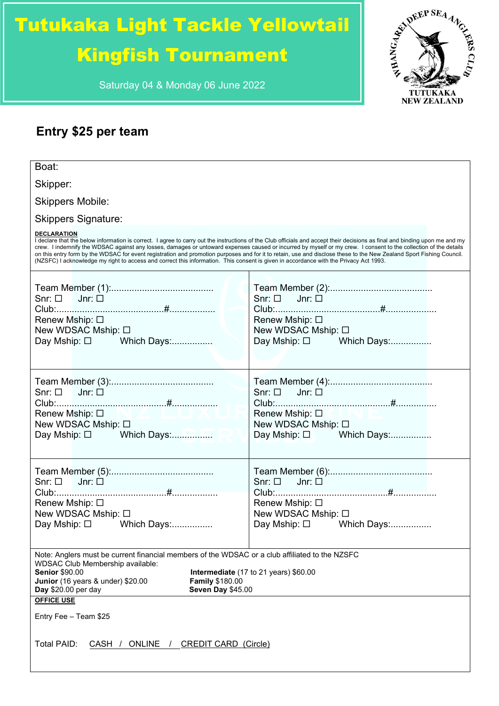# Tutukaka Light Tackle Yellowtail Kingfish Tournament

Saturday 04 & Monday 06 June 2022



## **Entry \$25 per team**

| Boat:                                                                                                                                                                                                                                                                                                                                                                                                                                                                                                                                                                                                                                                                           |                                                                                             |  |
|---------------------------------------------------------------------------------------------------------------------------------------------------------------------------------------------------------------------------------------------------------------------------------------------------------------------------------------------------------------------------------------------------------------------------------------------------------------------------------------------------------------------------------------------------------------------------------------------------------------------------------------------------------------------------------|---------------------------------------------------------------------------------------------|--|
| Skipper:                                                                                                                                                                                                                                                                                                                                                                                                                                                                                                                                                                                                                                                                        |                                                                                             |  |
| <b>Skippers Mobile:</b>                                                                                                                                                                                                                                                                                                                                                                                                                                                                                                                                                                                                                                                         |                                                                                             |  |
| <b>Skippers Signature:</b>                                                                                                                                                                                                                                                                                                                                                                                                                                                                                                                                                                                                                                                      |                                                                                             |  |
| DECLARATION<br>I declare that the below information is correct. I agree to carry out the instructions of the Club officials and accept their decisions as final and binding upon me and my<br>crew. I indemnify the WDSAC against any losses, damages or untoward expenses caused or incurred by myself or my crew. I consent to the collection of the details<br>on this entry form by the WDSAC for event registration and promotion purposes and for it to retain, use and disclose these to the New Zealand Sport Fishing Council.<br>(NZSFC) I acknowledge my right to access and correct this information. This consent is given in accordance with the Privacy Act 1993. |                                                                                             |  |
| $Sm: \Box$ Jnr: $\Box$<br>Renew Mship: □<br>New WDSAC Mship: □<br>Day Mship: □ Which Days:                                                                                                                                                                                                                                                                                                                                                                                                                                                                                                                                                                                      | $Snr: \Box$ Jnr: $\Box$<br>Renew Mship: □<br>New WDSAC Mship: □<br>Day Mship: 0 Which Days: |  |
| Snr: $\square$ Jnr: $\square$<br>Renew Mship: □<br>New WDSAC Mship: □<br>Day Mship: 0 Which Days:                                                                                                                                                                                                                                                                                                                                                                                                                                                                                                                                                                               | Renew Mship: □<br>New WDSAC Mship: □<br>Day Mship: 0 Which Days:                            |  |
| Renew Mship: $\square$<br>New WDSAC Mship: □<br>Day Mship: □ Which Days:                                                                                                                                                                                                                                                                                                                                                                                                                                                                                                                                                                                                        | Renew Mship: □<br>New WDSAC Mship: □<br>Day Mship: 0 Which Days:                            |  |
| Note: Anglers must be current financial members of the WDSAC or a club affiliated to the NZSFC<br>WDSAC Club Membership available:<br><b>Senior \$90.00</b><br>Intermediate (17 to 21 years) \$60.00<br>Junior (16 years & under) \$20.00<br><b>Family \$180.00</b><br>Day \$20.00 per day<br><b>Seven Day \$45.00</b><br><b>OFFICE USE</b>                                                                                                                                                                                                                                                                                                                                     |                                                                                             |  |
| Entry Fee - Team \$25                                                                                                                                                                                                                                                                                                                                                                                                                                                                                                                                                                                                                                                           |                                                                                             |  |
| Total PAID:<br>CASH /<br><b>ONLINE</b><br>CREDIT CARD (Circle)<br>$\frac{1}{2}$                                                                                                                                                                                                                                                                                                                                                                                                                                                                                                                                                                                                 |                                                                                             |  |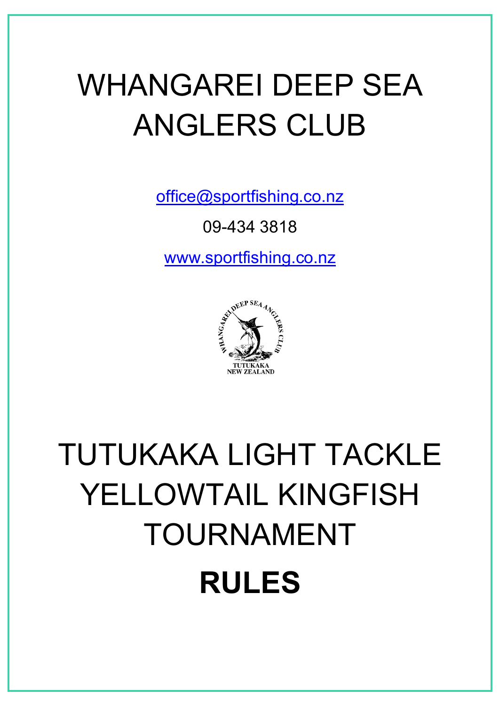#### Entry John Queens John Queens John Queens John Queens John Queens John Queens John Queens John Queens John Que **OFFICE USE** Snr Mship Qty: ............. \$.........  $\bullet$   $\bullet$   $\bullet$   $\bullet$   $\bullet$ WHANGAREI DEEP SEA ANGLERS CLUB

[office@sportfishing.co.nz](mailto:office@sportfishing.co.nz)

09-434 3818

[www.sportfishing.co.nz](http://www.sportfishing.co.nz/)



# TUTUKAKA LIGHT TACKLE YELLOWTAIL KINGFISH TOURNAMENT **RULES**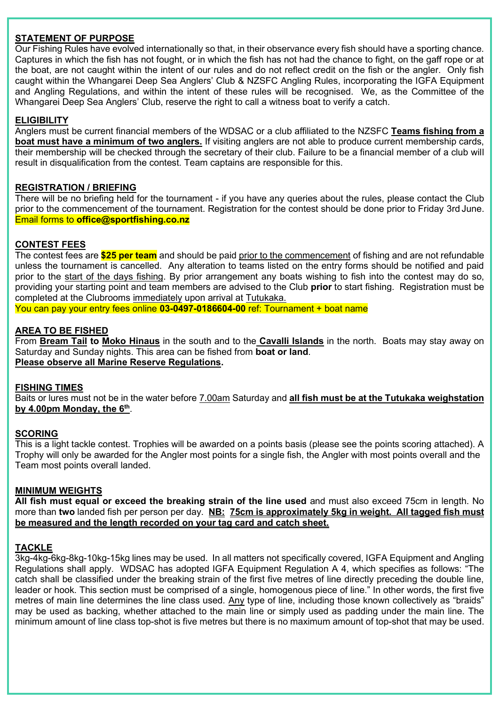#### **STATEMENT OF PURPOSE**

Our Fishing Rules have evolved internationally so that, in their observance every fish should have a sporting chance. Captures in which the fish has not fought, or in which the fish has not had the chance to fight, on the gaff rope or at the boat, are not caught within the intent of our rules and do not reflect credit on the fish or the angler. Only fish caught within the Whangarei Deep Sea Anglers' Club & NZSFC Angling Rules, incorporating the IGFA Equipment and Angling Regulations, and within the intent of these rules will be recognised. We, as the Committee of the Whangarei Deep Sea Anglers' Club, reserve the right to call a witness boat to verify a catch.

#### **ELIGIBILITY**

Anglers must be current financial members of the WDSAC or a club affiliated to the NZSFC **Teams fishing from a boat must have a minimum of two anglers.** If visiting anglers are not able to produce current membership cards, their membership will be checked through the secretary of their club. Failure to be a financial member of a club will result in disqualification from the contest. Team captains are responsible for this.

#### **REGISTRATION / BRIEFING**

There will be no briefing held for the tournament - if you have any queries about the rules, please contact the Club prior to the commencement of the tournament. Registration for the contest should be done prior to Friday 3rd June. Email forms to **office@sportfishing.co.nz** 

#### **CONTEST FEES**

The contest fees are **\$25 per team** and should be paid prior to the commencement of fishing and are not refundable unless the tournament is cancelled. Any alteration to teams listed on the entry forms should be notified and paid prior to the start of the days fishing. By prior arrangement any boats wishing to fish into the contest may do so, providing your starting point and team members are advised to the Club **prior** to start fishing. Registration must be completed at the Clubrooms immediately upon arrival at Tutukaka.

You can pay your entry fees online **03-0497-0186604-00** ref: Tournament + boat name

#### **AREA TO BE FISHED**

From **Bream Tail to Moko Hinaus** in the south and to the **Cavalli Islands** in the north. Boats may stay away on Saturday and Sunday nights. This area can be fished from **boat or land**. **Please observe all Marine Reserve Regulations.**

#### **FISHING TIMES**

Baits or lures must not be in the water before 7.00am Saturday and **all fish must be at the Tutukaka weighstation**  by 4.00pm Monday, the 6<sup>th</sup>.

#### **SCORING**

This is a light tackle contest. Trophies will be awarded on a points basis (please see the points scoring attached). A Trophy will only be awarded for the Angler most points for a single fish, the Angler with most points overall and the Team most points overall landed.

#### **MINIMUM WEIGHTS**

**All fish must equal or exceed the breaking strain of the line used** and must also exceed 75cm in length. No more than **two** landed fish per person per day. **NB: 75cm is approximately 5kg in weight. All tagged fish must be measured and the length recorded on your tag card and catch sheet.**

#### **TACKLE**

3kg-4kg-6kg-8kg-10kg-15kg lines may be used. In all matters not specifically covered, IGFA Equipment and Angling Regulations shall apply. WDSAC has adopted IGFA Equipment Regulation A 4, which specifies as follows: "The catch shall be classified under the breaking strain of the first five metres of line directly preceding the double line, leader or hook. This section must be comprised of a single, homogenous piece of line." In other words, the first five metres of main line determines the line class used. Any type of line, including those known collectively as "braids" may be used as backing, whether attached to the main line or simply used as padding under the main line. The minimum amount of line class top-shot is five metres but there is no maximum amount of top-shot that may be used.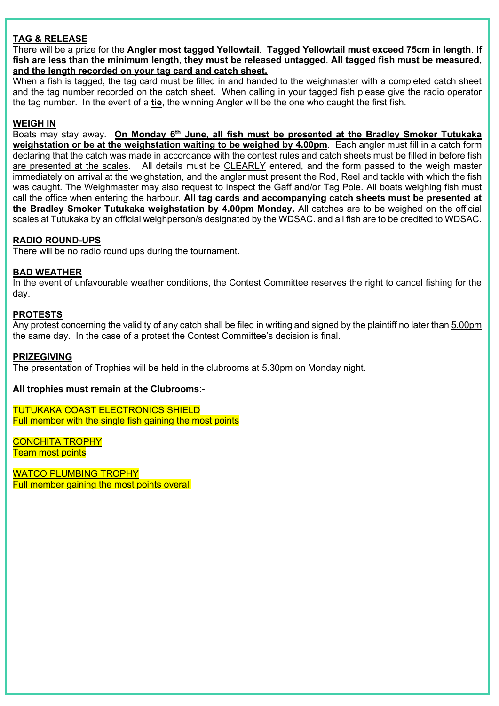#### **TAG & RELEASE**

There will be a prize for the **Angler most tagged Yellowtail**. **Tagged Yellowtail must exceed 75cm in length**. **If fish are less than the minimum length, they must be released untagged**. **All tagged fish must be measured, and the length recorded on your tag card and catch sheet.**

When a fish is tagged, the tag card must be filled in and handed to the weighmaster with a completed catch sheet and the tag number recorded on the catch sheet. When calling in your tagged fish please give the radio operator the tag number. In the event of a **tie**, the winning Angler will be the one who caught the first fish.

#### **WEIGH IN**

Boats may stay away. **On Monday 6<sup>th</sup> June, all fish must be presented at the Bradley Smoker Tutukaka weighstation or be at the weighstation waiting to be weighed by 4.00pm**. Each angler must fill in a catch form declaring that the catch was made in accordance with the contest rules and catch sheets must be filled in before fish are presented at the scales. All details must be CLEARLY entered, and the form passed to the weigh master immediately on arrival at the weighstation, and the angler must present the Rod, Reel and tackle with which the fish was caught. The Weighmaster may also request to inspect the Gaff and/or Tag Pole. All boats weighing fish must call the office when entering the harbour. **All tag cards and accompanying catch sheets must be presented at the Bradley Smoker Tutukaka weighstation by 4.00pm Monday.** All catches are to be weighed on the official scales at Tutukaka by an official weighperson/s designated by the WDSAC. and all fish are to be credited to WDSAC.

#### **RADIO ROUND-UPS**

There will be no radio round ups during the tournament.

#### **BAD WEATHER**

In the event of unfavourable weather conditions, the Contest Committee reserves the right to cancel fishing for the day.

#### **PROTESTS**

Any protest concerning the validity of any catch shall be filed in writing and signed by the plaintiff no later than 5.00pm the same day. In the case of a protest the Contest Committee's decision is final.

#### **PRIZEGIVING**

The presentation of Trophies will be held in the clubrooms at 5.30pm on Monday night.

#### **All trophies must remain at the Clubrooms**:-

TUTUKAKA COAST ELECTRONICS SHIELD Full member with the single fish gaining the most points

CONCHITA TROPHY Team most points

WATCO PLUMBING TROPHY Full member gaining the most points overall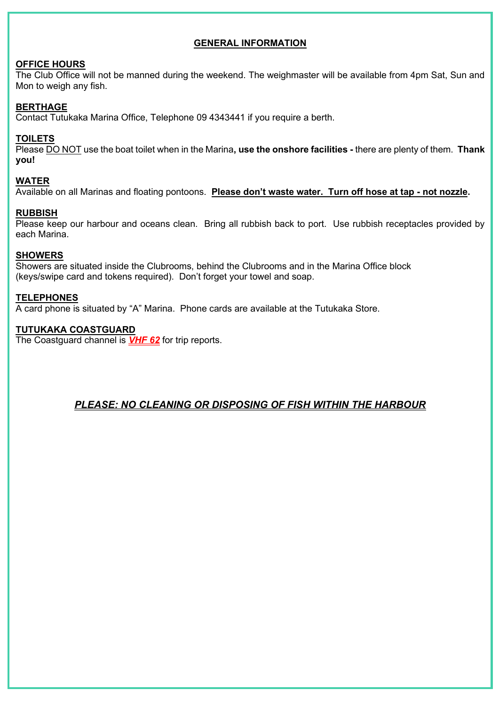#### **GENERAL INFORMATION**

#### **OFFICE HOURS**

The Club Office will not be manned during the weekend. The weighmaster will be available from 4pm Sat, Sun and Mon to weigh any fish.

#### **BERTHAGE**

Contact Tutukaka Marina Office, Telephone 09 4343441 if you require a berth.

#### **TOILETS**

Please DO NOT use the boat toilet when in the Marina**, use the onshore facilities -** there are plenty of them. **Thank you!**

#### **WATER**

Available on all Marinas and floating pontoons. **Please don't waste water. Turn off hose at tap - not nozzle.**

#### **RUBBISH**

Please keep our harbour and oceans clean. Bring all rubbish back to port. Use rubbish receptacles provided by each Marina.

#### **SHOWERS**

Showers are situated inside the Clubrooms, behind the Clubrooms and in the Marina Office block (keys/swipe card and tokens required). Don't forget your towel and soap.

#### **TELEPHONES**

A card phone is situated by "A" Marina. Phone cards are available at the Tutukaka Store.

#### **TUTUKAKA COASTGUARD**

The Coastguard channel is *VHF 62* for trip reports.

*PLEASE: NO CLEANING OR DISPOSING OF FISH WITHIN THE HARBOUR*